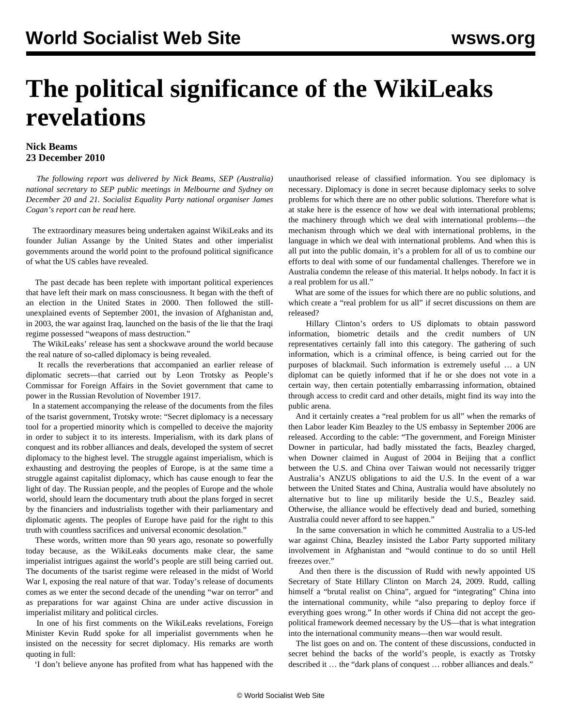## **The political significance of the WikiLeaks revelations**

## **Nick Beams 23 December 2010**

 *The following report was delivered by Nick Beams, SEP (Australia) national secretary to SEP public meetings in Melbourne and Sydney on December 20 and 21. Socialist Equality Party national organiser James Cogan's report can be read* [here](/en/articles/2010/dec2010/jcre-d22.shtml)*.*

 The extraordinary measures being undertaken against WikiLeaks and its founder Julian Assange by the United States and other imperialist governments around the world point to the profound political significance of what the US cables have revealed.

 The past decade has been replete with important political experiences that have left their mark on mass consciousness. It began with the theft of an election in the United States in 2000. Then followed the stillunexplained events of September 2001, the invasion of Afghanistan and, in 2003, the war against Iraq, launched on the basis of the lie that the Iraqi regime possessed "weapons of mass destruction."

 The WikiLeaks' release has sent a shockwave around the world because the real nature of so-called diplomacy is being revealed.

 It recalls the reverberations that accompanied an earlier release of diplomatic secrets—that carried out by Leon Trotsky as People's Commissar for Foreign Affairs in the Soviet government that came to power in the Russian Revolution of November 1917.

 In a statement accompanying the release of the documents from the files of the tsarist government, Trotsky wrote: "Secret diplomacy is a necessary tool for a propertied minority which is compelled to deceive the majority in order to subject it to its interests. Imperialism, with its dark plans of conquest and its robber alliances and deals, developed the system of secret diplomacy to the highest level. The struggle against imperialism, which is exhausting and destroying the peoples of Europe, is at the same time a struggle against capitalist diplomacy, which has cause enough to fear the light of day. The Russian people, and the peoples of Europe and the whole world, should learn the documentary truth about the plans forged in secret by the financiers and industrialists together with their parliamentary and diplomatic agents. The peoples of Europe have paid for the right to this truth with countless sacrifices and universal economic desolation."

 These words, written more than 90 years ago, resonate so powerfully today because, as the WikiLeaks documents make clear, the same imperialist intrigues against the world's people are still being carried out. The documents of the tsarist regime were released in the midst of World War I, exposing the real nature of that war. Today's release of documents comes as we enter the second decade of the unending "war on terror" and as preparations for war against China are under active discussion in imperialist military and political circles.

 In one of his first comments on the WikiLeaks revelations, Foreign Minister Kevin Rudd spoke for all imperialist governments when he insisted on the necessity for secret diplomacy. His remarks are worth quoting in full:

'I don't believe anyone has profited from what has happened with the

unauthorised release of classified information. You see diplomacy is necessary. Diplomacy is done in secret because diplomacy seeks to solve problems for which there are no other public solutions. Therefore what is at stake here is the essence of how we deal with international problems; the machinery through which we deal with international problems—the mechanism through which we deal with international problems, in the language in which we deal with international problems. And when this is all put into the public domain, it's a problem for all of us to combine our efforts to deal with some of our fundamental challenges. Therefore we in Australia condemn the release of this material. It helps nobody. In fact it is a real problem for us all."

 What are some of the issues for which there are no public solutions, and which create a "real problem for us all" if secret discussions on them are released?

 Hillary Clinton's orders to US diplomats to obtain password information, biometric details and the credit numbers of UN representatives certainly fall into this category. The gathering of such information, which is a criminal offence, is being carried out for the purposes of blackmail. Such information is extremely useful … a UN diplomat can be quietly informed that if he or she does not vote in a certain way, then certain potentially embarrassing information, obtained through access to credit card and other details, might find its way into the public arena.

 And it certainly creates a "real problem for us all" when the remarks of then Labor leader Kim Beazley to the US embassy in September 2006 are released. According to the cable: "The government, and Foreign Minister Downer in particular, had badly misstated the facts, Beazley charged, when Downer claimed in August of 2004 in Beijing that a conflict between the U.S. and China over Taiwan would not necessarily trigger Australia's ANZUS obligations to aid the U.S. In the event of a war between the United States and China, Australia would have absolutely no alternative but to line up militarily beside the U.S., Beazley said. Otherwise, the alliance would be effectively dead and buried, something Australia could never afford to see happen."

 In the same conversation in which he committed Australia to a US-led war against China, Beazley insisted the Labor Party supported military involvement in Afghanistan and "would continue to do so until Hell freezes over."

 And then there is the discussion of Rudd with newly appointed US Secretary of State Hillary Clinton on March 24, 2009. Rudd, calling himself a "brutal realist on China", argued for "integrating" China into the international community, while "also preparing to deploy force if everything goes wrong." In other words if China did not accept the geopolitical framework deemed necessary by the US—that is what integration into the international community means—then war would result.

 The list goes on and on. The content of these discussions, conducted in secret behind the backs of the world's people, is exactly as Trotsky described it … the "dark plans of conquest … robber alliances and deals."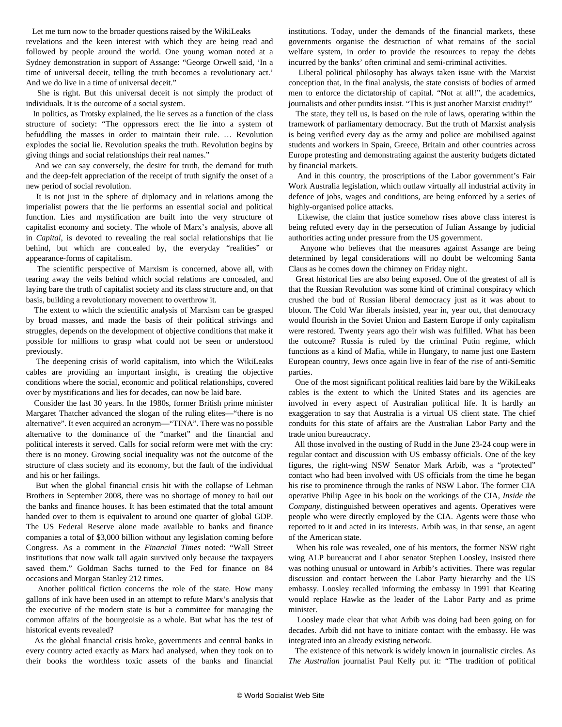Let me turn now to the broader questions raised by the WikiLeaks

revelations and the keen interest with which they are being read and followed by people around the world. One young woman noted at a Sydney demonstration in support of Assange: "George Orwell said, 'In a time of universal deceit, telling the truth becomes a revolutionary act.' And we do live in a time of universal deceit."

 She is right. But this universal deceit is not simply the product of individuals. It is the outcome of a social system.

 In politics, as Trotsky explained, the lie serves as a function of the class structure of society: "The oppressors erect the lie into a system of befuddling the masses in order to maintain their rule. … Revolution explodes the social lie. Revolution speaks the truth. Revolution begins by giving things and social relationships their real names."

 And we can say conversely, the desire for truth, the demand for truth and the deep-felt appreciation of the receipt of truth signify the onset of a new period of social revolution.

 It is not just in the sphere of diplomacy and in relations among the imperialist powers that the lie performs an essential social and political function. Lies and mystification are built into the very structure of capitalist economy and society. The whole of Marx's analysis, above all in *Capital*, is devoted to revealing the real social relationships that lie behind, but which are concealed by, the everyday "realities" or appearance-forms of capitalism.

 The scientific perspective of Marxism is concerned, above all, with tearing away the veils behind which social relations are concealed, and laying bare the truth of capitalist society and its class structure and, on that basis, building a revolutionary movement to overthrow it.

 The extent to which the scientific analysis of Marxism can be grasped by broad masses, and made the basis of their political strivings and struggles, depends on the development of objective conditions that make it possible for millions to grasp what could not be seen or understood previously.

 The deepening crisis of world capitalism, into which the WikiLeaks cables are providing an important insight, is creating the objective conditions where the social, economic and political relationships, covered over by mystifications and lies for decades, can now be laid bare.

 Consider the last 30 years. In the 1980s, former British prime minister Margaret Thatcher advanced the slogan of the ruling elites—"there is no alternative". It even acquired an acronym—"TINA". There was no possible alternative to the dominance of the "market" and the financial and political interests it served. Calls for social reform were met with the cry: there is no money. Growing social inequality was not the outcome of the structure of class society and its economy, but the fault of the individual and his or her failings.

 But when the global financial crisis hit with the collapse of Lehman Brothers in September 2008, there was no shortage of money to bail out the banks and finance houses. It has been estimated that the total amount handed over to them is equivalent to around one quarter of global GDP. The US Federal Reserve alone made available to banks and finance companies a total of \$3,000 billion without any legislation coming before Congress. As a comment in the *Financial Times* noted: "Wall Street institutions that now walk tall again survived only because the taxpayers saved them." Goldman Sachs turned to the Fed for finance on 84 occasions and Morgan Stanley 212 times.

 Another political fiction concerns the role of the state. How many gallons of ink have been used in an attempt to refute Marx's analysis that the executive of the modern state is but a committee for managing the common affairs of the bourgeoisie as a whole. But what has the test of historical events revealed?

 As the global financial crisis broke, governments and central banks in every country acted exactly as Marx had analysed, when they took on to their books the worthless toxic assets of the banks and financial

institutions. Today, under the demands of the financial markets, these governments organise the destruction of what remains of the social welfare system, in order to provide the resources to repay the debts incurred by the banks' often criminal and semi-criminal activities.

 Liberal political philosophy has always taken issue with the Marxist conception that, in the final analysis, the state consists of bodies of armed men to enforce the dictatorship of capital. "Not at all!", the academics, journalists and other pundits insist. "This is just another Marxist crudity!"

 The state, they tell us, is based on the rule of laws, operating within the framework of parliamentary democracy. But the truth of Marxist analysis is being verified every day as the army and police are mobilised against students and workers in Spain, Greece, Britain and other countries across Europe protesting and demonstrating against the austerity budgets dictated by financial markets.

 And in this country, the proscriptions of the Labor government's Fair Work Australia legislation, which outlaw virtually all industrial activity in defence of jobs, wages and conditions, are being enforced by a series of highly-organised police attacks.

 Likewise, the claim that justice somehow rises above class interest is being refuted every day in the persecution of Julian Assange by judicial authorities acting under pressure from the US government.

 Anyone who believes that the measures against Assange are being determined by legal considerations will no doubt be welcoming Santa Claus as he comes down the chimney on Friday night.

 Great historical lies are also being exposed. One of the greatest of all is that the Russian Revolution was some kind of criminal conspiracy which crushed the bud of Russian liberal democracy just as it was about to bloom. The Cold War liberals insisted, year in, year out, that democracy would flourish in the Soviet Union and Eastern Europe if only capitalism were restored. Twenty years ago their wish was fulfilled. What has been the outcome? Russia is ruled by the criminal Putin regime, which functions as a kind of Mafia, while in Hungary, to name just one Eastern European country, Jews once again live in fear of the rise of anti-Semitic parties.

 One of the most significant political realities laid bare by the WikiLeaks cables is the extent to which the United States and its agencies are involved in every aspect of Australian political life. It is hardly an exaggeration to say that Australia is a virtual US client state. The chief conduits for this state of affairs are the Australian Labor Party and the trade union bureaucracy.

 All those involved in the ousting of Rudd in the June 23-24 coup were in regular contact and discussion with US embassy officials. One of the key figures, the right-wing NSW Senator Mark Arbib, was a "protected" contact who had been involved with US officials from the time he began his rise to prominence through the ranks of NSW Labor. The former CIA operative Philip Agee in his book on the workings of the CIA, *Inside the Company,* distinguished between operatives and agents. Operatives were people who were directly employed by the CIA. Agents were those who reported to it and acted in its interests. Arbib was, in that sense, an agent of the American state.

 When his role was revealed, one of his mentors, the former NSW right wing ALP bureaucrat and Labor senator Stephen Loosley, insisted there was nothing unusual or untoward in Arbib's activities. There was regular discussion and contact between the Labor Party hierarchy and the US embassy. Loosley recalled informing the embassy in 1991 that Keating would replace Hawke as the leader of the Labor Party and as prime minister.

 Loosley made clear that what Arbib was doing had been going on for decades. Arbib did not have to initiate contact with the embassy. He was integrated into an already existing network.

 The existence of this network is widely known in journalistic circles. As *The Australian* journalist Paul Kelly put it: "The tradition of political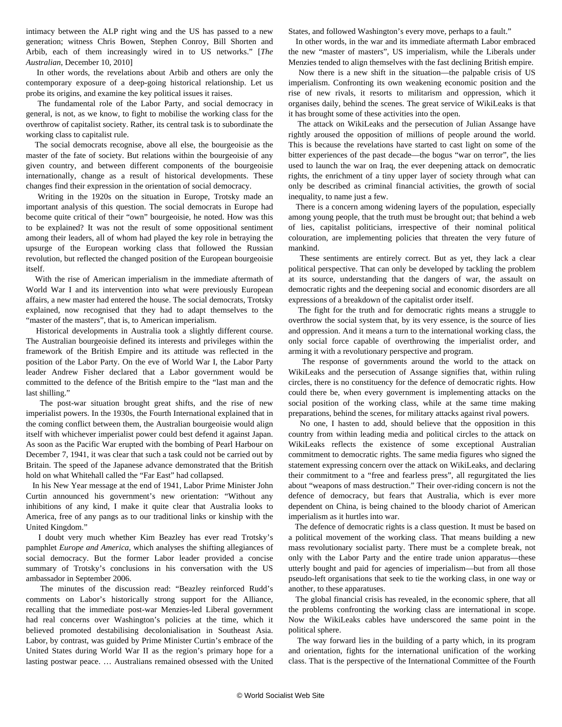intimacy between the ALP right wing and the US has passed to a new generation; witness Chris Bowen, Stephen Conroy, Bill Shorten and Arbib, each of them increasingly wired in to US networks." [*The Australian*, December 10, 2010]

 In other words, the revelations about Arbib and others are only the contemporary exposure of a deep-going historical relationship. Let us probe its origins, and examine the key political issues it raises.

 The fundamental role of the Labor Party, and social democracy in general, is not, as we know, to fight to mobilise the working class for the overthrow of capitalist society. Rather, its central task is to subordinate the working class to capitalist rule.

 The social democrats recognise, above all else, the bourgeoisie as the master of the fate of society. But relations within the bourgeoisie of any given country, and between different components of the bourgeoisie internationally, change as a result of historical developments. These changes find their expression in the orientation of social democracy.

 Writing in the 1920s on the situation in Europe, Trotsky made an important analysis of this question. The social democrats in Europe had become quite critical of their "own" bourgeoisie, he noted. How was this to be explained? It was not the result of some oppositional sentiment among their leaders, all of whom had played the key role in betraying the upsurge of the European working class that followed the Russian revolution, but reflected the changed position of the European bourgeoisie itself.

 With the rise of American imperialism in the immediate aftermath of World War I and its intervention into what were previously European affairs, a new master had entered the house. The social democrats, Trotsky explained, now recognised that they had to adapt themselves to the "master of the masters", that is, to American imperialism.

 Historical developments in Australia took a slightly different course. The Australian bourgeoisie defined its interests and privileges within the framework of the British Empire and its attitude was reflected in the position of the Labor Party. On the eve of World War I, the Labor Party leader Andrew Fisher declared that a Labor government would be committed to the defence of the British empire to the "last man and the last shilling."

 The post-war situation brought great shifts, and the rise of new imperialist powers. In the 1930s, the Fourth International explained that in the coming conflict between them, the Australian bourgeoisie would align itself with whichever imperialist power could best defend it against Japan. As soon as the Pacific War erupted with the bombing of Pearl Harbour on December 7, 1941, it was clear that such a task could not be carried out by Britain. The speed of the Japanese advance demonstrated that the British hold on what Whitehall called the "Far East" had collapsed.

 In his New Year message at the end of 1941, Labor Prime Minister John Curtin announced his government's new orientation: "Without any inhibitions of any kind, I make it quite clear that Australia looks to America, free of any pangs as to our traditional links or kinship with the United Kingdom."

 I doubt very much whether Kim Beazley has ever read Trotsky's pamphlet *Europe and America,* which analyses the shifting allegiances of social democracy. But the former Labor leader provided a concise summary of Trotsky's conclusions in his conversation with the US ambassador in September 2006.

 The minutes of the discussion read: "Beazley reinforced Rudd's comments on Labor's historically strong support for the Alliance, recalling that the immediate post-war Menzies-led Liberal government had real concerns over Washington's policies at the time, which it believed promoted destabilising decolonialisation in Southeast Asia. Labor, by contrast, was guided by Prime Minister Curtin's embrace of the United States during World War II as the region's primary hope for a lasting postwar peace. … Australians remained obsessed with the United States, and followed Washington's every move, perhaps to a fault."

 In other words, in the war and its immediate aftermath Labor embraced the new "master of masters", US imperialism, while the Liberals under Menzies tended to align themselves with the fast declining British empire.

 Now there is a new shift in the situation—the palpable crisis of US imperialism. Confronting its own weakening economic position and the rise of new rivals, it resorts to militarism and oppression, which it organises daily, behind the scenes. The great service of WikiLeaks is that it has brought some of these activities into the open.

 The attack on WikiLeaks and the persecution of Julian Assange have rightly aroused the opposition of millions of people around the world. This is because the revelations have started to cast light on some of the bitter experiences of the past decade—the bogus "war on terror", the lies used to launch the war on Iraq, the ever deepening attack on democratic rights, the enrichment of a tiny upper layer of society through what can only be described as criminal financial activities, the growth of social inequality, to name just a few.

 There is a concern among widening layers of the population, especially among young people, that the truth must be brought out; that behind a web of lies, capitalist politicians, irrespective of their nominal political colouration, are implementing policies that threaten the very future of mankind.

 These sentiments are entirely correct. But as yet, they lack a clear political perspective. That can only be developed by tackling the problem at its source, understanding that the dangers of war, the assault on democratic rights and the deepening social and economic disorders are all expressions of a breakdown of the capitalist order itself.

 The fight for the truth and for democratic rights means a struggle to overthrow the social system that, by its very essence, is the source of lies and oppression. And it means a turn to the international working class, the only social force capable of overthrowing the imperialist order, and arming it with a revolutionary perspective and program.

 The response of governments around the world to the attack on WikiLeaks and the persecution of Assange signifies that, within ruling circles, there is no constituency for the defence of democratic rights. How could there be, when every government is implementing attacks on the social position of the working class, while at the same time making preparations, behind the scenes, for military attacks against rival powers.

 No one, I hasten to add, should believe that the opposition in this country from within leading media and political circles to the attack on WikiLeaks reflects the existence of some exceptional Australian commitment to democratic rights. The same media figures who signed the statement expressing concern over the attack on WikiLeaks, and declaring their commitment to a "free and fearless press", all regurgitated the lies about "weapons of mass destruction." Their over-riding concern is not the defence of democracy, but fears that Australia, which is ever more dependent on China, is being chained to the bloody chariot of American imperialism as it hurtles into war.

 The defence of democratic rights is a class question. It must be based on a political movement of the working class. That means building a new mass revolutionary socialist party. There must be a complete break, not only with the Labor Party and the entire trade union apparatus—these utterly bought and paid for agencies of imperialism—but from all those pseudo-left organisations that seek to tie the working class, in one way or another, to these apparatuses.

 The global financial crisis has revealed, in the economic sphere, that all the problems confronting the working class are international in scope. Now the WikiLeaks cables have underscored the same point in the political sphere.

 The way forward lies in the building of a party which, in its program and orientation, fights for the international unification of the working class. That is the perspective of the International Committee of the Fourth